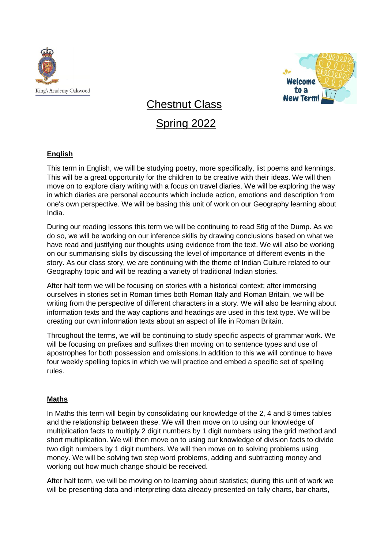



# Chestnut Class Spring 2022

## **English**

This term in English, we will be studying poetry, more specifically, list poems and kennings. This will be a great opportunity for the children to be creative with their ideas. We will then move on to explore diary writing with a focus on travel diaries. We will be exploring the way in which diaries are personal accounts which include action, emotions and description from one's own perspective. We will be basing this unit of work on our Geography learning about India.

During our reading lessons this term we will be continuing to read Stig of the Dump. As we do so, we will be working on our inference skills by drawing conclusions based on what we have read and justifying our thoughts using evidence from the text. We will also be working on our summarising skills by discussing the level of importance of different events in the story. As our class story, we are continuing with the theme of Indian Culture related to our Geography topic and will be reading a variety of traditional Indian stories.

After half term we will be focusing on stories with a historical context; after immersing ourselves in stories set in Roman times both Roman Italy and Roman Britain, we will be writing from the perspective of different characters in a story. We will also be learning about information texts and the way captions and headings are used in this text type. We will be creating our own information texts about an aspect of life in Roman Britain.

Throughout the terms, we will be continuing to study specific aspects of grammar work. We will be focusing on prefixes and suffixes then moving on to sentence types and use of apostrophes for both possession and omissions.In addition to this we will continue to have four weekly spelling topics in which we will practice and embed a specific set of spelling rules.

#### **Maths**

In Maths this term will begin by consolidating our knowledge of the 2, 4 and 8 times tables and the relationship between these. We will then move on to using our knowledge of multiplication facts to multiply 2 digit numbers by 1 digit numbers using the grid method and short multiplication. We will then move on to using our knowledge of division facts to divide two digit numbers by 1 digit numbers. We will then move on to solving problems using money. We will be solving two step word problems, adding and subtracting money and working out how much change should be received.

After half term, we will be moving on to learning about statistics; during this unit of work we will be presenting data and interpreting data already presented on tally charts, bar charts,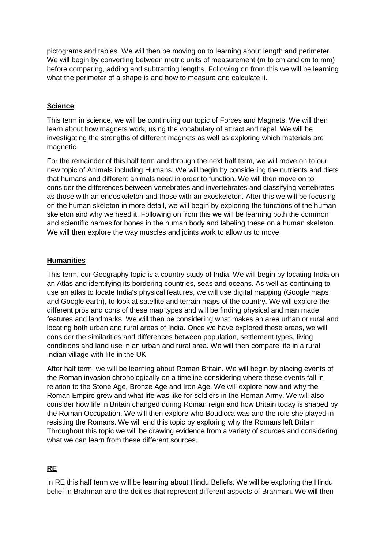pictograms and tables. We will then be moving on to learning about length and perimeter. We will begin by converting between metric units of measurement (m to cm and cm to mm) before comparing, adding and subtracting lengths. Following on from this we will be learning what the perimeter of a shape is and how to measure and calculate it.

#### **Science**

This term in science, we will be continuing our topic of Forces and Magnets. We will then learn about how magnets work, using the vocabulary of attract and repel. We will be investigating the strengths of different magnets as well as exploring which materials are magnetic.

For the remainder of this half term and through the next half term, we will move on to our new topic of Animals including Humans. We will begin by considering the nutrients and diets that humans and different animals need in order to function. We will then move on to consider the differences between vertebrates and invertebrates and classifying vertebrates as those with an endoskeleton and those with an exoskeleton. After this we will be focusing on the human skeleton in more detail, we will begin by exploring the functions of the human skeleton and why we need it. Following on from this we will be learning both the common and scientific names for bones in the human body and labeling these on a human skeleton. We will then explore the way muscles and joints work to allow us to move.

#### **Humanities**

This term, our Geography topic is a country study of India. We will begin by locating India on an Atlas and identifying its bordering countries, seas and oceans. As well as continuing to use an atlas to locate India's physical features, we will use digital mapping (Google maps and Google earth), to look at satellite and terrain maps of the country. We will explore the different pros and cons of these map types and will be finding physical and man made features and landmarks. We will then be considering what makes an area urban or rural and locating both urban and rural areas of India. Once we have explored these areas, we will consider the similarities and differences between population, settlement types, living conditions and land use in an urban and rural area. We will then compare life in a rural Indian village with life in the UK

After half term, we will be learning about Roman Britain. We will begin by placing events of the Roman invasion chronologically on a timeline considering where these events fall in relation to the Stone Age, Bronze Age and Iron Age. We will explore how and why the Roman Empire grew and what life was like for soldiers in the Roman Army. We will also consider how life in Britain changed during Roman reign and how Britain today is shaped by the Roman Occupation. We will then explore who Boudicca was and the role she played in resisting the Romans. We will end this topic by exploring why the Romans left Britain. Throughout this topic we will be drawing evidence from a variety of sources and considering what we can learn from these different sources.

# **RE**

In RE this half term we will be learning about Hindu Beliefs. We will be exploring the Hindu belief in Brahman and the deities that represent different aspects of Brahman. We will then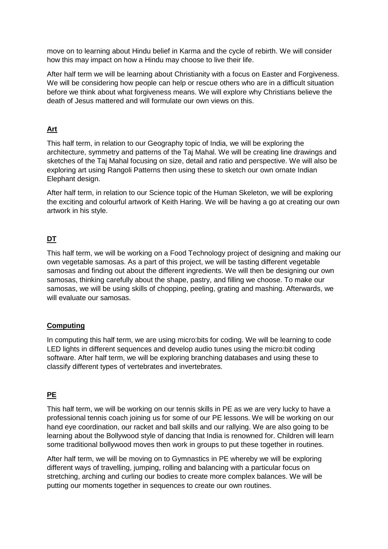move on to learning about Hindu belief in Karma and the cycle of rebirth. We will consider how this may impact on how a Hindu may choose to live their life.

After half term we will be learning about Christianity with a focus on Easter and Forgiveness. We will be considering how people can help or rescue others who are in a difficult situation before we think about what forgiveness means. We will explore why Christians believe the death of Jesus mattered and will formulate our own views on this.

## **Art**

This half term, in relation to our Geography topic of India, we will be exploring the architecture, symmetry and patterns of the Taj Mahal. We will be creating line drawings and sketches of the Taj Mahal focusing on size, detail and ratio and perspective. We will also be exploring art using Rangoli Patterns then using these to sketch our own ornate Indian Elephant design.

After half term, in relation to our Science topic of the Human Skeleton, we will be exploring the exciting and colourful artwork of Keith Haring. We will be having a go at creating our own artwork in his style.

# **DT**

This half term, we will be working on a Food Technology project of designing and making our own vegetable samosas. As a part of this project, we will be tasting different vegetable samosas and finding out about the different ingredients. We will then be designing our own samosas, thinking carefully about the shape, pastry, and filling we choose. To make our samosas, we will be using skills of chopping, peeling, grating and mashing. Afterwards, we will evaluate our samosas.

### **Computing**

In computing this half term, we are using micro:bits for coding. We will be learning to code LED lights in different sequences and develop audio tunes using the micro:bit coding software. After half term, we will be exploring branching databases and using these to classify different types of vertebrates and invertebrates.

### **PE**

This half term, we will be working on our tennis skills in PE as we are very lucky to have a professional tennis coach joining us for some of our PE lessons. We will be working on our hand eye coordination, our racket and ball skills and our rallying. We are also going to be learning about the Bollywood style of dancing that India is renowned for. Children will learn some traditional bollywood moves then work in groups to put these together in routines.

After half term, we will be moving on to Gymnastics in PE whereby we will be exploring different ways of travelling, jumping, rolling and balancing with a particular focus on stretching, arching and curling our bodies to create more complex balances. We will be putting our moments together in sequences to create our own routines.